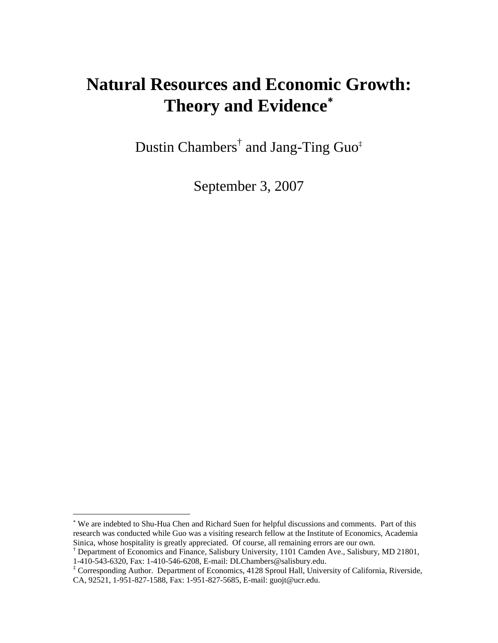# **Natural Resources and Economic Growth: Theory and Evidence**[∗](#page-0-0)

Dustin Chambers<sup>[†](#page-0-1)</sup> and Jang-Ting Guo<sup>‡</sup>

September 3, 2007

 $\overline{a}$ 

<span id="page-0-0"></span><sup>∗</sup> We are indebted to Shu-Hua Chen and Richard Suen for helpful discussions and comments. Part of this research was conducted while Guo was a visiting research fellow at the Institute of Economics, Academia Sinica, whose hospitality is greatly appreciated. Of course, all remaining errors are our own.

<span id="page-0-1"></span><sup>†</sup> Department of Economics and Finance, Salisbury University, 1101 Camden Ave., Salisbury, MD 21801, 1-410-543-6320, Fax: 1-410-546-6208, E-mail: DLChambers@salisbury.edu. ‡

<span id="page-0-2"></span>Corresponding Author. Department of Economics, 4128 Sproul Hall, University of California, Riverside, CA, 92521, 1-951-827-1588, Fax: 1-951-827-5685, E-mail: guojt@ucr.edu.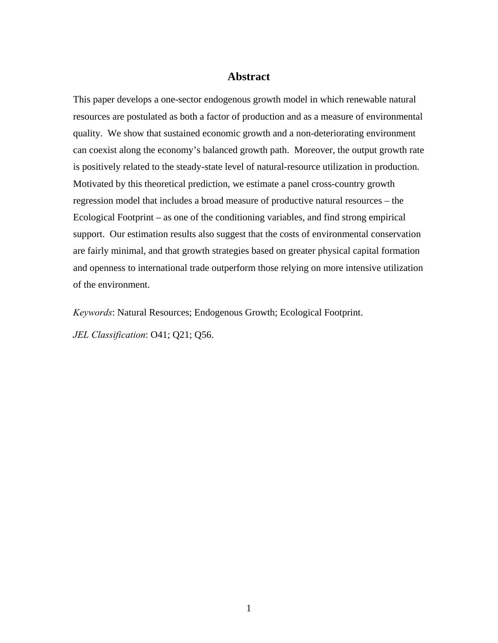### **Abstract**

This paper develops a one-sector endogenous growth model in which renewable natural resources are postulated as both a factor of production and as a measure of environmental quality. We show that sustained economic growth and a non-deteriorating environment can coexist along the economy's balanced growth path. Moreover, the output growth rate is positively related to the steady-state level of natural-resource utilization in production. Motivated by this theoretical prediction, we estimate a panel cross-country growth regression model that includes a broad measure of productive natural resources – the Ecological Footprint – as one of the conditioning variables, and find strong empirical support. Our estimation results also suggest that the costs of environmental conservation are fairly minimal, and that growth strategies based on greater physical capital formation and openness to international trade outperform those relying on more intensive utilization of the environment.

*Keywords*: Natural Resources; Endogenous Growth; Ecological Footprint. *JEL Classification*: O41; Q21; Q56.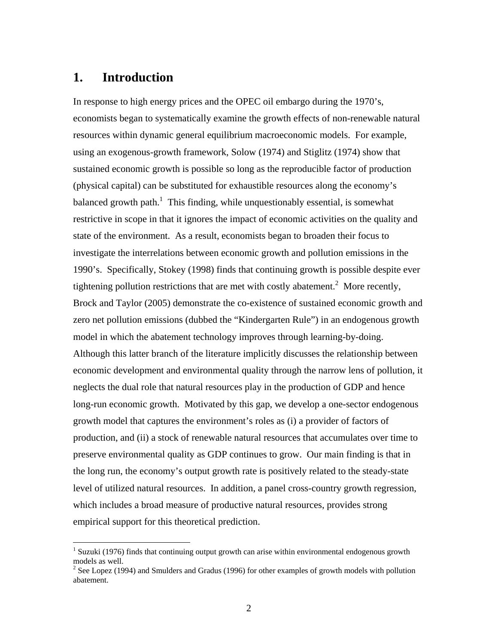# **1. Introduction**

<u>.</u>

In response to high energy prices and the OPEC oil embargo during the 1970's, economists began to systematically examine the growth effects of non-renewable natural resources within dynamic general equilibrium macroeconomic models. For example, using an exogenous-growth framework, Solow (1974) and Stiglitz (1974) show that sustained economic growth is possible so long as the reproducible factor of production (physical capital) can be substituted for exhaustible resources along the economy's balanced growth path.<sup>1</sup> This finding, while unquestionably essential, is somewhat restrictive in scope in that it ignores the impact of economic activities on the quality and state of the environment. As a result, economists began to broaden their focus to investigate the interrelations between economic growth and pollution emissions in the 1990's. Specifically, Stokey (1998) finds that continuing growth is possible despite ever tightening pollution restrictions that are met with costly abatement.<sup>[2](#page-2-1)</sup> More recently, Brock and Taylor (2005) demonstrate the co-existence of sustained economic growth and zero net pollution emissions (dubbed the "Kindergarten Rule") in an endogenous growth model in which the abatement technology improves through learning-by-doing. Although this latter branch of the literature implicitly discusses the relationship between economic development and environmental quality through the narrow lens of pollution, it neglects the dual role that natural resources play in the production of GDP and hence long-run economic growth. Motivated by this gap, we develop a one-sector endogenous growth model that captures the environment's roles as (i) a provider of factors of production, and (ii) a stock of renewable natural resources that accumulates over time to preserve environmental quality as GDP continues to grow. Our main finding is that in the long run, the economy's output growth rate is positively related to the steady-state level of utilized natural resources. In addition, a panel cross-country growth regression, which includes a broad measure of productive natural resources, provides strong empirical support for this theoretical prediction.

<span id="page-2-0"></span><sup>&</sup>lt;sup>1</sup> Suzuki (1976) finds that continuing output growth can arise within environmental endogenous growth models as well.

<span id="page-2-1"></span> $2$  See Lopez (1994) and Smulders and Gradus (1996) for other examples of growth models with pollution abatement.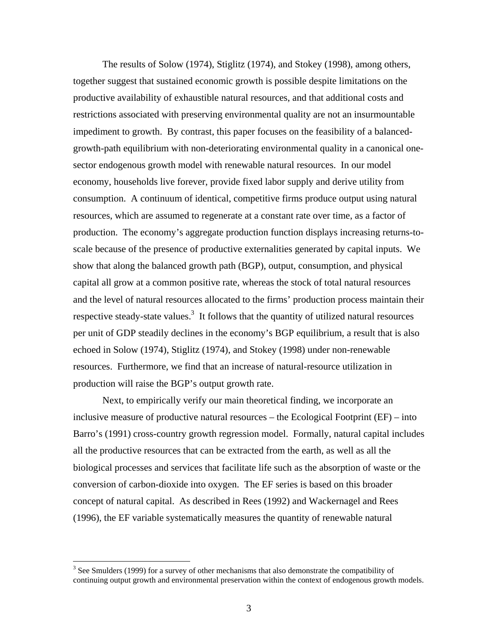The results of Solow (1974), Stiglitz (1974), and Stokey (1998), among others, together suggest that sustained economic growth is possible despite limitations on the productive availability of exhaustible natural resources, and that additional costs and restrictions associated with preserving environmental quality are not an insurmountable impediment to growth. By contrast, this paper focuses on the feasibility of a balancedgrowth-path equilibrium with non-deteriorating environmental quality in a canonical onesector endogenous growth model with renewable natural resources. In our model economy, households live forever, provide fixed labor supply and derive utility from consumption. A continuum of identical, competitive firms produce output using natural resources, which are assumed to regenerate at a constant rate over time, as a factor of production. The economy's aggregate production function displays increasing returns-toscale because of the presence of productive externalities generated by capital inputs. We show that along the balanced growth path (BGP), output, consumption, and physical capital all grow at a common positive rate, whereas the stock of total natural resources and the level of natural resources allocated to the firms' production process maintain their respective steady-state values.<sup>3</sup> It follows that the quantity of utilized natural resources per unit of GDP steadily declines in the economy's BGP equilibrium, a result that is also echoed in Solow (1974), Stiglitz (1974), and Stokey (1998) under non-renewable resources. Furthermore, we find that an increase of natural-resource utilization in production will raise the BGP's output growth rate.

Next, to empirically verify our main theoretical finding, we incorporate an inclusive measure of productive natural resources – the Ecological Footprint (EF) – into Barro's (1991) cross-country growth regression model. Formally, natural capital includes all the productive resources that can be extracted from the earth, as well as all the biological processes and services that facilitate life such as the absorption of waste or the conversion of carbon-dioxide into oxygen. The EF series is based on this broader concept of natural capital. As described in Rees (1992) and Wackernagel and Rees (1996), the EF variable systematically measures the quantity of renewable natural

<span id="page-3-0"></span> $3$  See Smulders (1999) for a survey of other mechanisms that also demonstrate the compatibility of continuing output growth and environmental preservation within the context of endogenous growth models.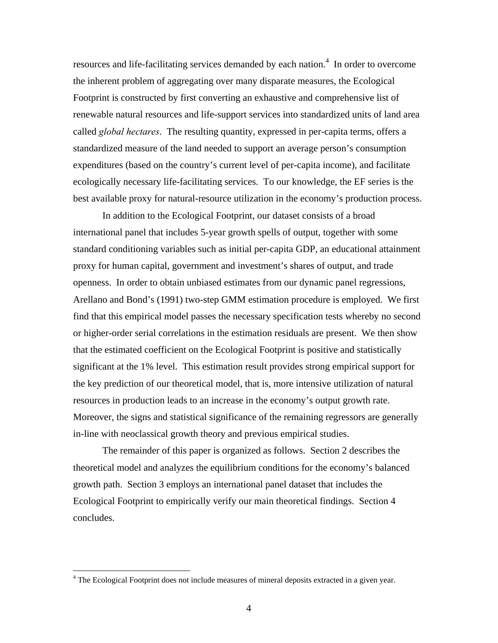resources and life-facilitating services demanded by each nation.<sup>4</sup> In order to overcome the inherent problem of aggregating over many disparate measures, the Ecological Footprint is constructed by first converting an exhaustive and comprehensive list of renewable natural resources and life-support services into standardized units of land area called *global hectares*. The resulting quantity, expressed in per-capita terms, offers a standardized measure of the land needed to support an average person's consumption expenditures (based on the country's current level of per-capita income), and facilitate ecologically necessary life-facilitating services. To our knowledge, the EF series is the best available proxy for natural-resource utilization in the economy's production process.

In addition to the Ecological Footprint, our dataset consists of a broad international panel that includes 5-year growth spells of output, together with some standard conditioning variables such as initial per-capita GDP, an educational attainment proxy for human capital, government and investment's shares of output, and trade openness. In order to obtain unbiased estimates from our dynamic panel regressions, Arellano and Bond's (1991) two-step GMM estimation procedure is employed. We first find that this empirical model passes the necessary specification tests whereby no second or higher-order serial correlations in the estimation residuals are present. We then show that the estimated coefficient on the Ecological Footprint is positive and statistically significant at the 1% level. This estimation result provides strong empirical support for the key prediction of our theoretical model, that is, more intensive utilization of natural resources in production leads to an increase in the economy's output growth rate. Moreover, the signs and statistical significance of the remaining regressors are generally in-line with neoclassical growth theory and previous empirical studies.

The remainder of this paper is organized as follows. Section 2 describes the theoretical model and analyzes the equilibrium conditions for the economy's balanced growth path. Section 3 employs an international panel dataset that includes the Ecological Footprint to empirically verify our main theoretical findings. Section 4 concludes.

<u>.</u>

<span id="page-4-0"></span><sup>&</sup>lt;sup>4</sup> The Ecological Footprint does not include measures of mineral deposits extracted in a given year.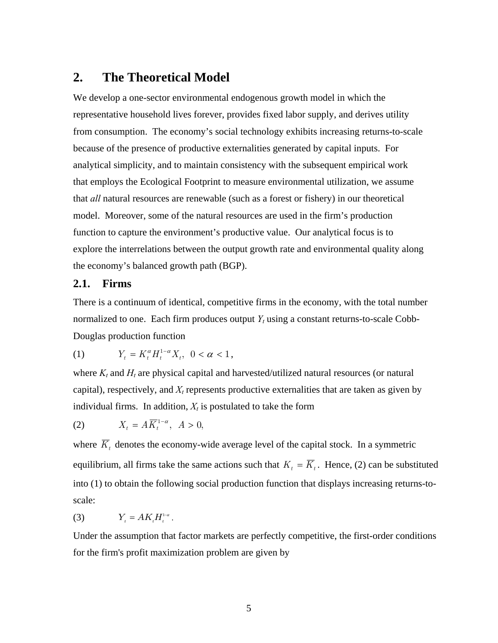# **2. The Theoretical Model**

We develop a one-sector environmental endogenous growth model in which the representative household lives forever, provides fixed labor supply, and derives utility from consumption. The economy's social technology exhibits increasing returns-to-scale because of the presence of productive externalities generated by capital inputs. For analytical simplicity, and to maintain consistency with the subsequent empirical work that employs the Ecological Footprint to measure environmental utilization, we assume that *all* natural resources are renewable (such as a forest or fishery) in our theoretical model. Moreover, some of the natural resources are used in the firm's production function to capture the environment's productive value. Our analytical focus is to explore the interrelations between the output growth rate and environmental quality along the economy's balanced growth path (BGP).

### **2.1. Firms**

There is a continuum of identical, competitive firms in the economy, with the total number normalized to one. Each firm produces output *Yt* using a constant returns-to-scale Cobb-Douglas production function

(1) 
$$
Y_t = K_t^{\alpha} H_t^{1-\alpha} X_t, \ 0 < \alpha < 1,
$$

where  $K_t$  and  $H_t$  are physical capital and harvested/utilized natural resources (or natural capital), respectively, and  $X_t$  represents productive externalities that are taken as given by individual firms. In addition,  $X_t$  is postulated to take the form

$$
(2) \tX_t = A \overline{K}_t^{1-\alpha}, \ A > 0,
$$

where  $\overline{K}_t$  denotes the economy-wide average level of the capital stock. In a symmetric equilibrium, all firms take the same actions such that  $K_t = \overline{K}_t$ . Hence, (2) can be substituted into (1) to obtain the following social production function that displays increasing returns-toscale:

(3)  $Y_t = AK_tH_t^{1-\alpha}$ .

Under the assumption that factor markets are perfectly competitive, the first-order conditions for the firm's profit maximization problem are given by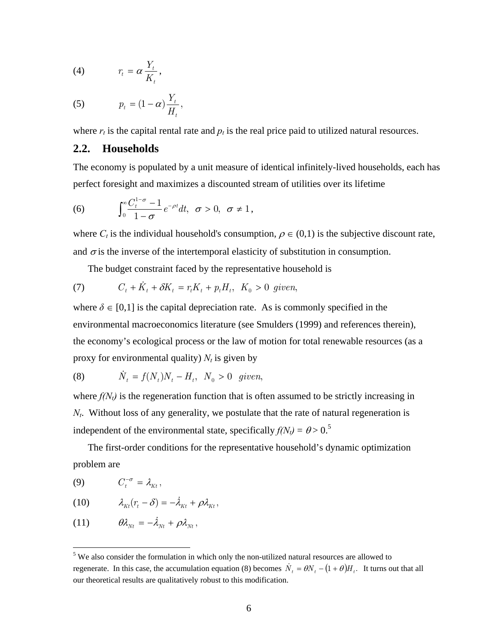$$
(4) \t\t r_t = \alpha \frac{Y_t}{K_t},
$$

$$
(5) \t\t p_t = (1 - \alpha) \frac{Y_t}{H_t},
$$

where  $r_t$  is the capital rental rate and  $p_t$  is the real price paid to utilized natural resources.

### **2.2. Households**

The economy is populated by a unit measure of identical infinitely-lived households, each has perfect foresight and maximizes a discounted stream of utilities over its lifetime

(6) 
$$
\int_0^\infty \frac{C_t^{1-\sigma}-1}{1-\sigma}e^{-\rho t}dt, \ \sigma > 0, \ \sigma \neq 1,
$$

where  $C_t$  is the individual household's consumption,  $\rho \in (0,1)$  is the subjective discount rate, and  $\sigma$  is the inverse of the intertemporal elasticity of substitution in consumption.

The budget constraint faced by the representative household is

$$
(7) \tCt + \dot{K}t + \delta Kt = rt Kt + pt Ht, K0 > 0 given,
$$

where  $\delta \in [0,1]$  is the capital depreciation rate. As is commonly specified in the environmental macroeconomics literature (see Smulders (1999) and references therein), the economy's ecological process or the law of motion for total renewable resources (as a proxy for environmental quality)  $N_t$  is given by

(8) 
$$
\dot{N}_t = f(N_t)N_t - H_t, \ N_0 > 0 \ \ given,
$$

where  $f(N_t)$  is the regeneration function that is often assumed to be strictly increasing in *Nt*. Without loss of any generality, we postulate that the rate of natural regeneration is independent of the environmental state, specifically  $f(N_t) = \theta > 0$ <sup>5</sup>

The first-order conditions for the representative household's dynamic optimization problem are

$$
(9) \tC_t^{-\sigma} = \lambda_{Kt},
$$

 $\overline{a}$ 

(10) 
$$
\lambda_{Kt}(r_t - \delta) = -\dot{\lambda}_{Kt} + \rho \lambda_{Kt},
$$

$$
(11) \hspace{1cm} \theta\lambda_{Nt} = -\dot{\lambda}_{Nt} + \rho\lambda_{Nt},
$$

<span id="page-6-0"></span> $5$  We also consider the formulation in which only the non-utilized natural resources are allowed to regenerate. In this case, the accumulation equation (8) becomes  $\dot{N}_t = \theta N_t - (1 + \theta)H_t$ . It turns out that all our theoretical results are qualitatively robust to this modification.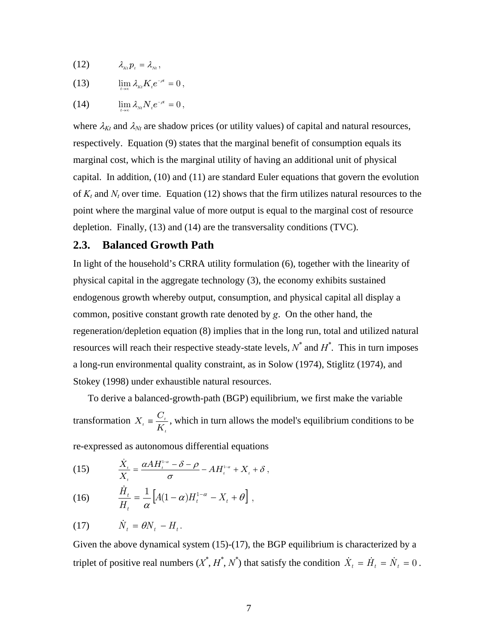(12) <sup>λ</sup> Ktpt = <sup>λ</sup> Nt ,

(13)  $\lim_{t \to \infty} \lambda_{kt} K_t e^{-\rho t} = 0$  $\lim_{t\to\infty}\lambda_{\scriptscriptstyle{Kt}}K_{\scriptscriptstyle{t}}e^{-\rho t}=0\,,$ 

(14)  $\lim_{t \to \infty} \lambda_{Nt} N_t e^{-\rho t} = 0,$ →∞

where  $\lambda_{Kt}$  and  $\lambda_{Nt}$  are shadow prices (or utility values) of capital and natural resources, respectively. Equation (9) states that the marginal benefit of consumption equals its marginal cost, which is the marginal utility of having an additional unit of physical capital. In addition, (10) and (11) are standard Euler equations that govern the evolution of  $K_t$  and  $N_t$  over time. Equation (12) shows that the firm utilizes natural resources to the point where the marginal value of more output is equal to the marginal cost of resource depletion. Finally, (13) and (14) are the transversality conditions (TVC).

### **2.3. Balanced Growth Path**

In light of the household's CRRA utility formulation (6), together with the linearity of physical capital in the aggregate technology (3), the economy exhibits sustained endogenous growth whereby output, consumption, and physical capital all display a common, positive constant growth rate denoted by *g*. On the other hand, the regeneration/depletion equation (8) implies that in the long run, total and utilized natural resources will reach their respective steady-state levels,  $N^*$  and  $H^*$ . This in turn imposes a long-run environmental quality constraint, as in Solow (1974), Stiglitz (1974), and Stokey (1998) under exhaustible natural resources.

To derive a balanced-growth-path (BGP) equilibrium, we first make the variable transformation t  $t_i \equiv \frac{\sigma_i}{K_i}$  $X_t = \frac{C_t}{K}$ , which in turn allows the model's equilibrium conditions to be

re-expressed as autonomous differential equations

(15) 
$$
\frac{\dot{X}_t}{X_t} = \frac{\alpha A H_t^{1-\alpha} - \delta - \rho}{\sigma} - A H_t^{1-\alpha} + X_t + \delta,
$$

(16) 
$$
\frac{\dot{H}_t}{H_t} = \frac{1}{\alpha} \left[ A(1-\alpha)H_t^{1-\alpha} - X_t + \theta \right],
$$

$$
(17) \t\t\t \dot{N}_t = \theta N_t - H_t.
$$

Given the above dynamical system (15)-(17), the BGP equilibrium is characterized by a triplet of positive real numbers  $(X^*, H^*, N^*)$  that satisfy the condition  $\dot{X}_t = \dot{H}_t = \dot{N}_t = 0$ .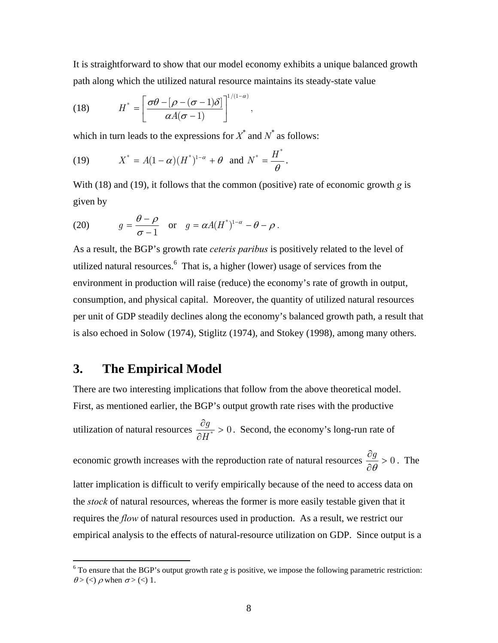It is straightforward to show that our model economy exhibits a unique balanced growth path along which the utilized natural resource maintains its steady-state value

(18) 
$$
H^* = \left[\frac{\sigma\theta - [\rho - (\sigma - 1)\delta]}{\alpha A(\sigma - 1)}\right]^{1/(1-\alpha)},
$$

which in turn leads to the expressions for  $X^*$  and  $N^*$  as follows:

(19) 
$$
X^* = A(1-\alpha)(H^*)^{1-\alpha} + \theta \text{ and } N^* = \frac{H^*}{\theta}.
$$

With (18) and (19), it follows that the common (positive) rate of economic growth *g* is given by

(20) 
$$
g = \frac{\theta - \rho}{\sigma - 1} \quad \text{or} \quad g = \alpha A (H^*)^{1-\alpha} - \theta - \rho.
$$

As a result, the BGP's growth rate *ceteris paribus* is positively related to the level of utilized natural resources. [6](#page-8-0) That is, a higher (lower) usage of services from the environment in production will raise (reduce) the economy's rate of growth in output, consumption, and physical capital. Moreover, the quantity of utilized natural resources per unit of GDP steadily declines along the economy's balanced growth path, a result that is also echoed in Solow (1974), Stiglitz (1974), and Stokey (1998), among many others.

# **3. The Empirical Model**

 $\overline{a}$ 

There are two interesting implications that follow from the above theoretical model. First, as mentioned earlier, the BGP's output growth rate rises with the productive utilization of natural resources  $\frac{dy}{\partial H^*} > 0$ ∂ H  $\frac{g}{\sigma s} > 0$ . Second, the economy's long-run rate of economic growth increases with the reproduction rate of natural resources  $\frac{dy}{d\theta} > 0$ ∂ ∂  $\frac{g}{\theta} > 0$ . The latter implication is difficult to verify empirically because of the need to access data on the *stock* of natural resources, whereas the former is more easily testable given that it requires the *flow* of natural resources used in production. As a result, we restrict our empirical analysis to the effects of natural-resource utilization on GDP. Since output is a

<span id="page-8-0"></span><sup>&</sup>lt;sup>6</sup> To ensure that the BGP's output growth rate *g* is positive, we impose the following parametric restriction:  $\theta$  > (<)  $\rho$  when  $\sigma$  > (<) 1.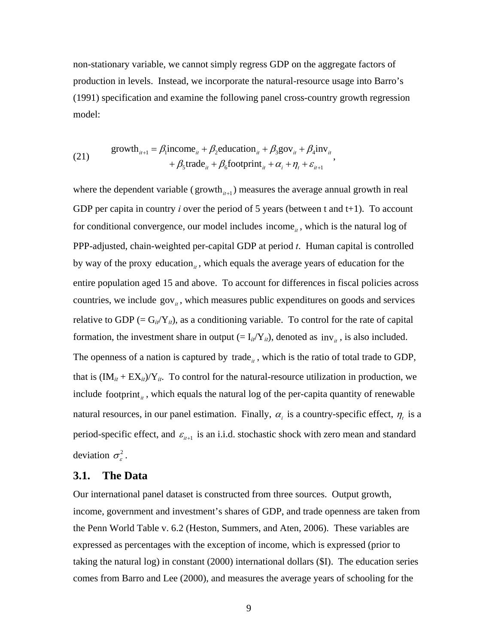non-stationary variable, we cannot simply regress GDP on the aggregate factors of production in levels. Instead, we incorporate the natural-resource usage into Barro's (1991) specification and examine the following panel cross-country growth regression model:

(21) 
$$
\begin{aligned} \text{growth}_{it+1} &= \beta_1 \text{income}_{it} + \beta_2 \text{ education}_{it} + \beta_3 \text{gov}_{it} + \beta_4 \text{inv}_{it} \\ &+ \beta_5 \text{trade}_{it} + \beta_6 \text{footprint}_{it} + \alpha_i + \eta_t + \varepsilon_{it+1} \end{aligned}
$$

where the dependent variable ( $\text{growth}_{it+1}$ ) measures the average annual growth in real GDP per capita in country  $i$  over the period of 5 years (between  $t$  and  $t+1$ ). To account for conditional convergence, our model includes income<sub>it</sub>, which is the natural log of PPP-adjusted, chain-weighted per-capital GDP at period *t*. Human capital is controlled by way of the proxy education<sub> $i$ </sub>, which equals the average years of education for the entire population aged 15 and above. To account for differences in fiscal policies across countries, we include  $\text{gov}_{\mu}$ , which measures public expenditures on goods and services relative to GDP  $(= G_{it}/Y_{it})$ , as a conditioning variable. To control for the rate of capital formation, the investment share in output  $(= I_{i}/Y_{i}$ , denoted as  $inv_{i}$ , is also included. The openness of a nation is captured by  $\text{trade}_{\mu}$ , which is the ratio of total trade to GDP, that is  $(IM_{it} + EX_{it})/Y_{it}$ . To control for the natural-resource utilization in production, we include footprint<sub> $i$ </sub>, which equals the natural log of the per-capita quantity of renewable natural resources, in our panel estimation. Finally,  $\alpha_i$  is a country-specific effect,  $\eta_i$  is a period-specific effect, and  $\varepsilon_{i+1}$  is an i.i.d. stochastic shock with zero mean and standard deviation  $\sigma_{\rm c}^2$ .

#### **3.1. The Data**

Our international panel dataset is constructed from three sources. Output growth, income, government and investment's shares of GDP, and trade openness are taken from the Penn World Table v. 6.2 (Heston, Summers, and Aten, 2006). These variables are expressed as percentages with the exception of income, which is expressed (prior to taking the natural log) in constant (2000) international dollars (\$I). The education series comes from Barro and Lee (2000), and measures the average years of schooling for the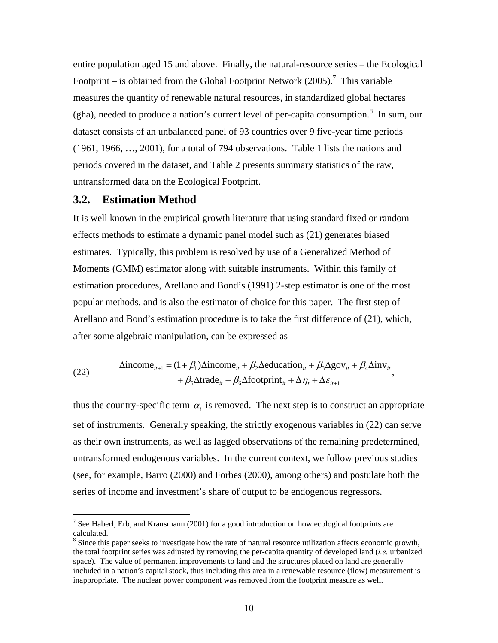entire population aged 15 and above. Finally, the natural-resource series – the Ecological Footprint – is obtained from the Global Footprint Network  $(2005)$ .<sup>7</sup> This variable measures the quantity of renewable natural resources, in standardi[ze](#page-10-0)d global hectares (gha), needed to produce a nation's current level of per-capita consumption. $\delta$  In sum, our dataset consists of an unbalanced panel of 93 countries over 9 five-year tim[e p](#page-10-1)eriods (1961, 1966, …, 2001), for a total of 794 observations. Table 1 lists the nations and periods covered in the dataset, and Table 2 presents summary statistics of the raw, untransformed data on the Ecological Footprint.

#### **3.2. Estimation Method**

<u>.</u>

It is well known in the empirical growth literature that using standard fixed or random effects methods to estimate a dynamic panel model such as (21) generates biased estimates. Typically, this problem is resolved by use of a Generalized Method of Moments (GMM) estimator along with suitable instruments. Within this family of estimation procedures, Arellano and Bond's (1991) 2-step estimator is one of the most popular methods, and is also the estimator of choice for this paper. The first step of Arellano and Bond's estimation procedure is to take the first difference of (21), which, after some algebraic manipulation, can be expressed as

(22) 
$$
\Delta \text{income}_{it+1} = (1 + \beta_1) \Delta \text{income}_{it} + \beta_2 \Delta \text{eduction}_{it} + \beta_3 \Delta \text{gov}_{it} + \beta_4 \Delta \text{inv}_{it} + \beta_5 \Delta \text{trade}_{it} + \beta_6 \Delta \text{footprint}_{it} + \Delta \eta_t + \Delta \varepsilon_{it+1},
$$

thus the country-specific term  $\alpha_i$  is removed. The next step is to construct an appropriate set of instruments. Generally speaking, the strictly exogenous variables in (22) can serve as their own instruments, as well as lagged observations of the remaining predetermined, untransformed endogenous variables. In the current context, we follow previous studies (see, for example, Barro (2000) and Forbes (2000), among others) and postulate both the series of income and investment's share of output to be endogenous regressors.

<span id="page-10-0"></span><sup>&</sup>lt;sup>7</sup> See Haberl, Erb, and Krausmann (2001) for a good introduction on how ecological footprints are calculated.

<span id="page-10-1"></span><sup>&</sup>lt;sup>8</sup> Since this paper seeks to investigate how the rate of natural resource utilization affects economic growth, the total footprint series was adjusted by removing the per-capita quantity of developed land (*i.e.* urbanized space). The value of permanent improvements to land and the structures placed on land are generally included in a nation's capital stock, thus including this area in a renewable resource (flow) measurement is inappropriate. The nuclear power component was removed from the footprint measure as well.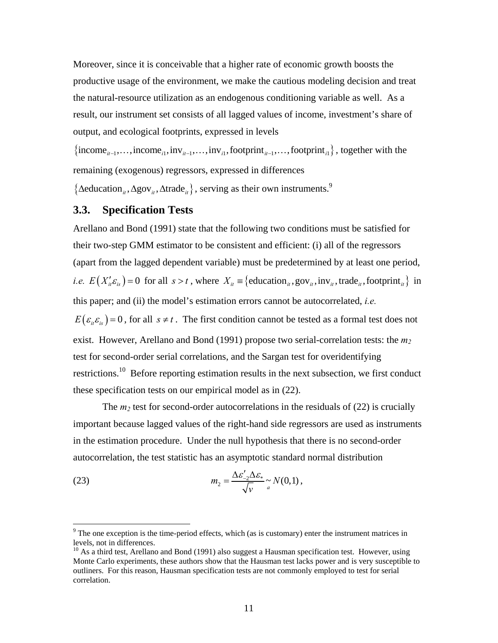Moreover, since it is conceivable that a higher rate of economic growth boosts the productive usage of the environment, we make the cautious modeling decision and treat the natural-resource utilization as an endogenous conditioning variable as well. As a result, our instrument set consists of all lagged values of income, investment's share of output, and ecological footprints, expressed in levels

{income<sub>*it*−1</sub>,...,income<sub>*i*1</sub>,inv<sub>*it*−1</sub>,...,inv<sub>*i*1</sub>,footprint<sub>*it*−1</sub>,...,footprint<sub>*i*1</sub></sub>}, together with the remaining (exogenous) regressors, expressed in differences

{∆education<sub>*it*</sub>,∆gov<sub>*it*</sub>,∆trade<sub>*it*</sub>}, serving as their own instruments.<sup>9</sup>

### **3.3. Specification Tests**

Arellano and Bond (1991) state that the following two conditions must be satisfied for their two-step GMM estimator to be consistent and efficient: (i) all of the regressors (apart from the lagged dependent variable) must be predetermined by at least one period, *i.e.*  $E(X_i \mathcal{E}_i) = 0$  for all  $s > t$ , where  $X_i \equiv \{eduction_i,.gov_i, inv_i, trade_i, footprint_i\}$  in this paper; and (ii) the model's estimation errors cannot be autocorrelated, *i.e.*  $E(\varepsilon_{ii}\varepsilon_{is})=0$ , for all  $s \neq t$ . The first condition cannot be tested as a formal test does not exist. However, Arellano and Bond (1991) propose two serial-correlation tests: the *m 2* test for second-order serial correlations, and the Sargan test for overidentifying restrictions.<sup>10</sup> Before reporting estimation results in the next subsection, we first conduct these speci[fica](#page-11-0)tion tests on our empirical model as in (22).

The  $m_2$  test for second-order autocorrelations in the residuals of (22) is crucially important because lagged values of the right-hand side regressors are used as instruments in the estimation procedure. Under the null hypothesis that there is no second-order autocorrelation, the test statistic has an asymptotic standard normal distribution

(23) 
$$
m_2 = \frac{\Delta \varepsilon_{-2}' \Delta \varepsilon_*}{\sqrt{v}} \approx N(0,1),
$$

 $9<sup>9</sup>$  The one exception is the time-period effects, which (as is customary) enter the instrument matrices in levels, not in differences.<br><sup>10</sup> As a third test, Arellano and Bond (1991) also suggest a Hausman specification test. However, using

<span id="page-11-0"></span>Monte Carlo experiments, these authors show that the Hausman test lacks power and is very susceptible to outliners. For this reason, Hausman specification tests are not commonly employed to test for serial correlation.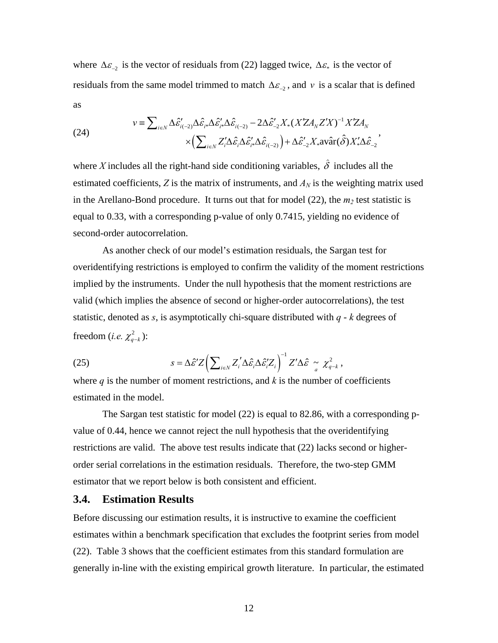where  $\Delta \varepsilon_{-2}$  is the vector of residuals from (22) lagged twice,  $\Delta \varepsilon_{*}$  is the vector of residuals from the same model trimmed to match  $\Delta \varepsilon_{-2}$ , and v is a scalar that is defined as

(24) 
$$
v \equiv \sum_{i \in N} \Delta \hat{\varepsilon}_{i(-2)}' \Delta \hat{\varepsilon}_{i^*} \Delta \hat{\varepsilon}_{i^*} \Delta \hat{\varepsilon}_{i(-2)} - 2 \Delta \hat{\varepsilon}_{-2}' X_*(X Z A_N Z' X)^{-1} X Z A_N
$$

$$
\times \Big( \sum_{i \in N} Z_i' \Delta \hat{\varepsilon}_i \Delta \hat{\varepsilon}_{i^*} \Delta \hat{\varepsilon}_{i(-2)} \Big) + \Delta \hat{\varepsilon}_{-2}' X_* \text{avâr}(\hat{\delta}) X_*' \Delta \hat{\varepsilon}_{-2}'
$$

where *X* includes all the right-hand side conditioning variables,  $\hat{\delta}$  includes all the estimated coefficients,  $Z$  is the matrix of instruments, and  $A_N$  is the weighting matrix used in the Arellano-Bond procedure. It turns out that for model  $(22)$ , the  $m_2$  test statistic is equal to 0.33, with a corresponding p-value of only 0.7415, yielding no evidence of second-order autocorrelation.

As another check of our model's estimation residuals, the Sargan test for overidentifying restrictions is employed to confirm the validity of the moment restrictions implied by the instruments. Under the null hypothesis that the moment restrictions are valid (which implies the absence of second or higher-order autocorrelations), the test statistic, denoted as *s*, is asymptotically chi-square distributed with *q* - *k* degrees of freedom (*i.e.*  $\chi^2_{q-k}$ ):

(25) 
$$
s = \Delta \hat{\varepsilon}^{\prime} Z \left( \sum_{i \in N} Z_i^{\prime} \Delta \hat{\varepsilon}_i \Delta \hat{\varepsilon}_i^{\prime} Z_i \right)^{-1} Z^{\prime} \Delta \hat{\varepsilon} \approx \chi_{q-k}^2,
$$

where  $q$  is the number of moment restrictions, and  $k$  is the number of coefficients estimated in the model.

The Sargan test statistic for model (22) is equal to 82.86, with a corresponding pvalue of 0.44, hence we cannot reject the null hypothesis that the overidentifying restrictions are valid. The above test results indicate that (22) lacks second or higherorder serial correlations in the estimation residuals. Therefore, the two-step GMM estimator that we report below is both consistent and efficient.

#### **3.4. Estimation Results**

Before discussing our estimation results, it is instructive to examine the coefficient estimates within a benchmark specification that excludes the footprint series from model (22). Table 3 shows that the coefficient estimates from this standard formulation are generally in-line with the existing empirical growth literature. In particular, the estimated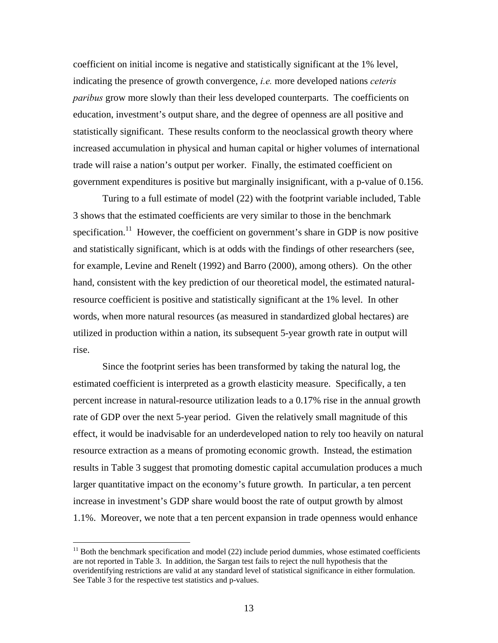coefficient on initial income is negative and statistically significant at the 1% level, indicating the presence of growth convergence, *i.e.* more developed nations *ceteris paribus* grow more slowly than their less developed counterparts. The coefficients on education, investment's output share, and the degree of openness are all positive and statistically significant. These results conform to the neoclassical growth theory where increased accumulation in physical and human capital or higher volumes of international trade will raise a nation's output per worker. Finally, the estimated coefficient on government expenditures is positive but marginally insignificant, with a p-value of 0.156.

Turing to a full estimate of model (22) with the footprint variable included, Table 3 shows that the estimated coefficients are very similar to those in the benchmark specification.<sup>11</sup> However, the coefficient on government's share in GDP is now positive and statistically significant, which is at odds with the findings of other researchers (see, for example, Levine and Renelt (1992) and Barro (2000), among others). On the other hand, consistent with the key prediction of our theoretical model, the estimated naturalresource coefficient is positive and statistically significant at the 1% level. In other words, when more natural resources (as measured in standardized global hectares) are utilized in production within a nation, its subsequent 5-year growth rate in output will rise.

Since the footprint series has been transformed by taking the natural log, the estimated coefficient is interpreted as a growth elasticity measure. Specifically, a ten percent increase in natural-resource utilization leads to a 0.17% rise in the annual growth rate of GDP over the next 5-year period. Given the relatively small magnitude of this effect, it would be inadvisable for an underdeveloped nation to rely too heavily on natural resource extraction as a means of promoting economic growth. Instead, the estimation results in Table 3 suggest that promoting domestic capital accumulation produces a much larger quantitative impact on the economy's future growth. In particular, a ten percent increase in investment's GDP share would boost the rate of output growth by almost 1.1%. Moreover, we note that a ten percent expansion in trade openness would enhance

<u>.</u>

<span id="page-13-0"></span> $11$  Both the benchmark specification and model (22) include period dummies, whose estimated coefficients are not reported in Table 3. In addition, the Sargan test fails to reject the null hypothesis that the overidentifying restrictions are valid at any standard level of statistical significance in either formulation. See Table 3 for the respective test statistics and p-values.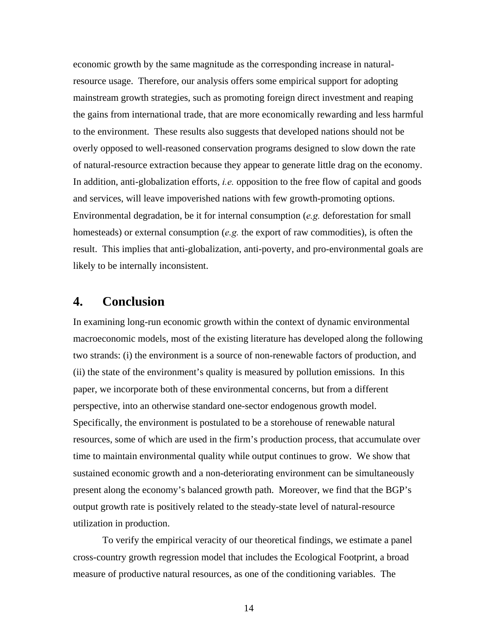economic growth by the same magnitude as the corresponding increase in naturalresource usage. Therefore, our analysis offers some empirical support for adopting mainstream growth strategies, such as promoting foreign direct investment and reaping the gains from international trade, that are more economically rewarding and less harmful to the environment. These results also suggests that developed nations should not be overly opposed to well-reasoned conservation programs designed to slow down the rate of natural-resource extraction because they appear to generate little drag on the economy. In addition, anti-globalization efforts, *i.e.* opposition to the free flow of capital and goods and services, will leave impoverished nations with few growth-promoting options. Environmental degradation, be it for internal consumption (*e.g.* deforestation for small homesteads) or external consumption (*e.g.* the export of raw commodities), is often the result. This implies that anti-globalization, anti-poverty, and pro-environmental goals are likely to be internally inconsistent.

### **4. Conclusion**

In examining long-run economic growth within the context of dynamic environmental macroeconomic models, most of the existing literature has developed along the following two strands: (i) the environment is a source of non-renewable factors of production, and (ii) the state of the environment's quality is measured by pollution emissions. In this paper, we incorporate both of these environmental concerns, but from a different perspective, into an otherwise standard one-sector endogenous growth model. Specifically, the environment is postulated to be a storehouse of renewable natural resources, some of which are used in the firm's production process, that accumulate over time to maintain environmental quality while output continues to grow. We show that sustained economic growth and a non-deteriorating environment can be simultaneously present along the economy's balanced growth path. Moreover, we find that the BGP's output growth rate is positively related to the steady-state level of natural-resource utilization in production.

To verify the empirical veracity of our theoretical findings, we estimate a panel cross-country growth regression model that includes the Ecological Footprint, a broad measure of productive natural resources, as one of the conditioning variables. The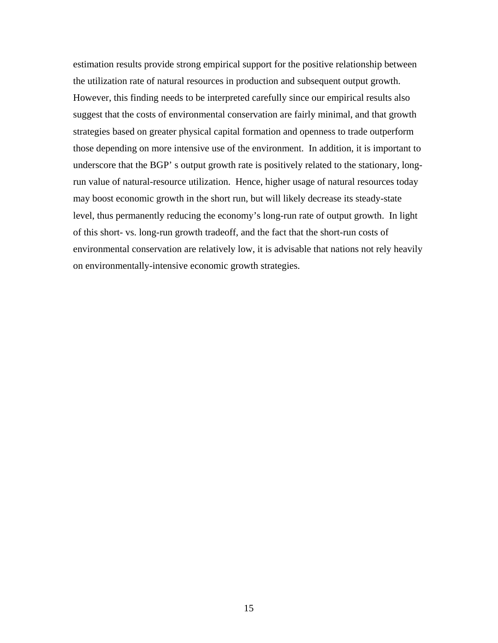estimation results provide strong empirical support for the positive relationship between the utilization rate of natural resources in production and subsequent output growth. However, this finding needs to be interpreted carefully since our empirical results also suggest that the costs of environmental conservation are fairly minimal, and that growth strategies based on greater physical capital formation and openness to trade outperform those depending on more intensive use of the environment. In addition, it is important to underscore that the BGP' s output growth rate is positively related to the stationary, longrun value of natural-resource utilization. Hence, higher usage of natural resources today may boost economic growth in the short run, but will likely decrease its steady-state level, thus permanently reducing the economy's long-run rate of output growth. In light of this short- vs. long-run growth tradeoff, and the fact that the short-run costs of environmental conservation are relatively low, it is advisable that nations not rely heavily on environmentally-intensive economic growth strategies.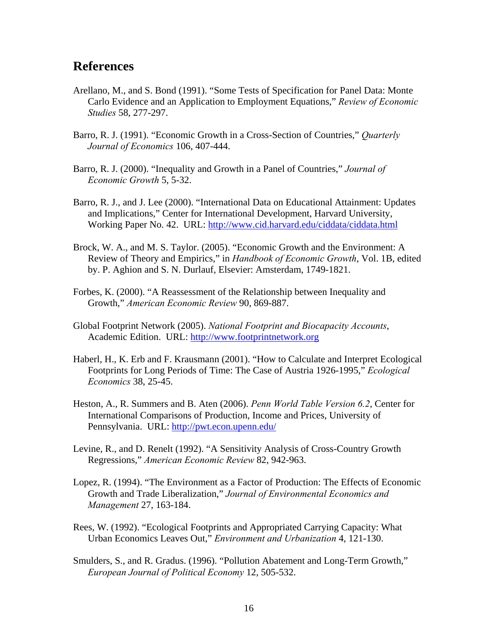## **References**

- Arellano, M., and S. Bond (1991). "Some Tests of Specification for Panel Data: Monte Carlo Evidence and an Application to Employment Equations," *Review of Economic Studies* 58, 277-297.
- Barro, R. J. (1991). "Economic Growth in a Cross-Section of Countries," *Quarterly Journal of Economics* 106, 407-444.
- Barro, R. J. (2000). "Inequality and Growth in a Panel of Countries," *Journal of Economic Growth* 5, 5-32.
- Barro, R. J., and J. Lee (2000). "International Data on Educational Attainment: Updates and Implications," Center for International Development, Harvard University, Working Paper No. 42. URL: <http://www.cid.harvard.edu/ciddata/ciddata.html>
- Brock, W. A., and M. S. Taylor. (2005). "Economic Growth and the Environment: A Review of Theory and Empirics," in *Handbook of Economic Growth*, Vol. 1B, edited by. P. Aghion and S. N. Durlauf, Elsevier: Amsterdam, 1749-1821.
- Forbes, K. (2000). "A Reassessment of the Relationship between Inequality and Growth," *American Economic Review* 90, 869-887.
- Global Footprint Network (2005). *National Footprint and Biocapacity Accounts*, Academic Edition. URL: [http://www.footprintnetwork.org](http://www.footprintnetwork.org/)
- Haberl, H., K. Erb and F. Krausmann (2001). "How to Calculate and Interpret Ecological Footprints for Long Periods of Time: The Case of Austria 1926-1995," *Ecological Economics* 38, 25-45.
- Heston, A., R. Summers and B. Aten (2006). *Penn World Table Version 6.2*, Center for International Comparisons of Production, Income and Prices, University of Pennsylvania. URL:<http://pwt.econ.upenn.edu/>
- Levine, R., and D. Renelt (1992). "A Sensitivity Analysis of Cross-Country Growth Regressions," *American Economic Review* 82, 942-963.
- Lopez, R. (1994). "The Environment as a Factor of Production: The Effects of Economic Growth and Trade Liberalization," *Journal of Environmental Economics and Management* 27, 163-184.
- Rees, W. (1992). "Ecological Footprints and Appropriated Carrying Capacity: What Urban Economics Leaves Out," *Environment and Urbanization* 4, 121-130.
- Smulders, S., and R. Gradus. (1996). "Pollution Abatement and Long-Term Growth," *European Journal of Political Economy* 12, 505-532.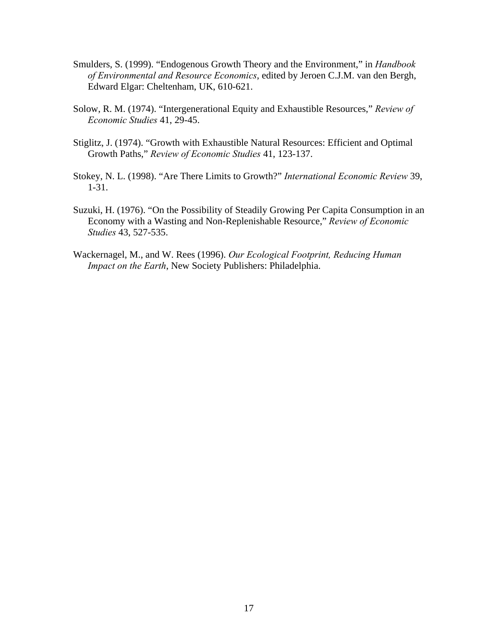- Smulders, S. (1999). "Endogenous Growth Theory and the Environment," in *Handbook of Environmental and Resource Economics*, edited by Jeroen C.J.M. van den Bergh, Edward Elgar: Cheltenham, UK, 610-621.
- Solow, R. M. (1974). "Intergenerational Equity and Exhaustible Resources," *Review of Economic Studies* 41, 29-45.
- Stiglitz, J. (1974). "Growth with Exhaustible Natural Resources: Efficient and Optimal Growth Paths," *Review of Economic Studies* 41, 123-137.
- Stokey, N. L. (1998). "Are There Limits to Growth?" *International Economic Review* 39, 1-31.
- Suzuki, H. (1976). "On the Possibility of Steadily Growing Per Capita Consumption in an Economy with a Wasting and Non-Replenishable Resource," *Review of Economic Studies* 43, 527-535.
- Wackernagel, M., and W. Rees (1996). *Our Ecological Footprint, Reducing Human Impact on the Earth*, New Society Publishers: Philadelphia.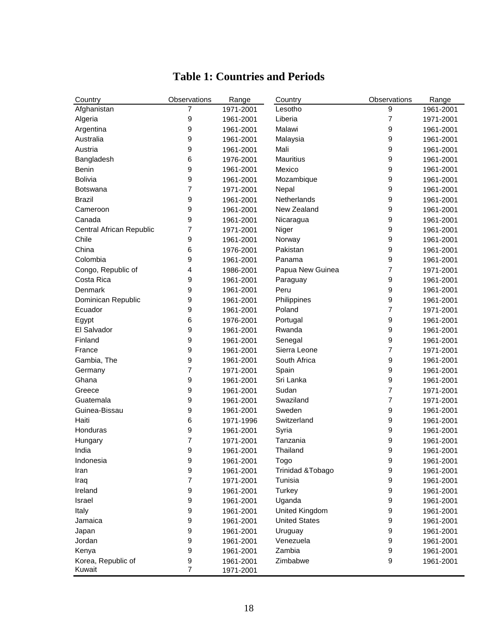| Country                  | Observations   | Range     | Country              | Observations     | Range     |
|--------------------------|----------------|-----------|----------------------|------------------|-----------|
| Afghanistan              | 7              | 1971-2001 | Lesotho              | 9                | 1961-2001 |
| Algeria                  | 9              | 1961-2001 | Liberia              | 7                | 1971-2001 |
| Argentina                | 9              | 1961-2001 | Malawi               | 9                | 1961-2001 |
| Australia                | 9              | 1961-2001 | Malaysia             | 9                | 1961-2001 |
| Austria                  | 9              | 1961-2001 | Mali                 | 9                | 1961-2001 |
| Bangladesh               | 6              | 1976-2001 | Mauritius            | 9                | 1961-2001 |
| Benin                    | 9              | 1961-2001 | Mexico               | 9                | 1961-2001 |
| <b>Bolivia</b>           | 9              | 1961-2001 | Mozambique           | 9                | 1961-2001 |
| <b>Botswana</b>          | 7              | 1971-2001 | Nepal                | 9                | 1961-2001 |
| <b>Brazil</b>            | 9              | 1961-2001 | <b>Netherlands</b>   | 9                | 1961-2001 |
| Cameroon                 | 9              | 1961-2001 | New Zealand          | 9                | 1961-2001 |
| Canada                   | 9              | 1961-2001 | Nicaragua            | 9                | 1961-2001 |
| Central African Republic | 7              | 1971-2001 | Niger                | 9                | 1961-2001 |
| Chile                    | 9              | 1961-2001 | Norway               | 9                | 1961-2001 |
| China                    | 6              | 1976-2001 | Pakistan             | 9                | 1961-2001 |
| Colombia                 | 9              | 1961-2001 | Panama               | 9                | 1961-2001 |
| Congo, Republic of       | 4              | 1986-2001 | Papua New Guinea     | 7                | 1971-2001 |
| Costa Rica               | 9              | 1961-2001 | Paraguay             | 9                | 1961-2001 |
| Denmark                  | 9              | 1961-2001 | Peru                 | 9                | 1961-2001 |
| Dominican Republic       | 9              | 1961-2001 | Philippines          | 9                | 1961-2001 |
| Ecuador                  | 9              | 1961-2001 | Poland               | $\overline{7}$   | 1971-2001 |
| Egypt                    | 6              | 1976-2001 | Portugal             | 9                | 1961-2001 |
| El Salvador              | 9              | 1961-2001 | Rwanda               | 9                | 1961-2001 |
| Finland                  | 9              | 1961-2001 | Senegal              | 9                | 1961-2001 |
| France                   | 9              | 1961-2001 | Sierra Leone         | $\overline{7}$   | 1971-2001 |
| Gambia, The              | 9              | 1961-2001 | South Africa         | 9                | 1961-2001 |
| Germany                  | 7              | 1971-2001 | Spain                | 9                | 1961-2001 |
| Ghana                    | 9              | 1961-2001 | Sri Lanka            | 9                | 1961-2001 |
| Greece                   | 9              | 1961-2001 | Sudan                | $\overline{7}$   | 1971-2001 |
| Guatemala                | 9              | 1961-2001 | Swaziland            | 7                | 1971-2001 |
| Guinea-Bissau            | 9              | 1961-2001 | Sweden               | 9                | 1961-2001 |
| Haiti                    | 6              | 1971-1996 | Switzerland          | 9                | 1961-2001 |
| Honduras                 | 9              | 1961-2001 | Syria                | 9                | 1961-2001 |
| Hungary                  | 7              | 1971-2001 | Tanzania             | 9                | 1961-2001 |
| India                    | 9              | 1961-2001 | Thailand             | 9                | 1961-2001 |
| Indonesia                | 9              | 1961-2001 | Togo                 | 9                | 1961-2001 |
| Iran                     | 9              | 1961-2001 | Trinidad & Tobago    | 9                | 1961-2001 |
| Iraq                     | 7              | 1971-2001 | Tunisia              | 9                | 1961-2001 |
| Ireland                  | 9              | 1961-2001 | Turkey               | $\boldsymbol{9}$ | 1961-2001 |
| Israel                   | 9              | 1961-2001 | Uganda               | 9                | 1961-2001 |
| Italy                    | 9              | 1961-2001 | United Kingdom       | 9                | 1961-2001 |
| Jamaica                  | 9              | 1961-2001 | <b>United States</b> | 9                | 1961-2001 |
| Japan                    | 9              | 1961-2001 | Uruguay              | 9                | 1961-2001 |
| Jordan                   | 9              | 1961-2001 | Venezuela            | 9                | 1961-2001 |
| Kenya                    | 9              | 1961-2001 | Zambia               | 9                | 1961-2001 |
| Korea, Republic of       | 9              | 1961-2001 | Zimbabwe             | 9                | 1961-2001 |
| Kuwait                   | $\overline{7}$ | 1971-2001 |                      |                  |           |

# **Table 1: Countries and Periods**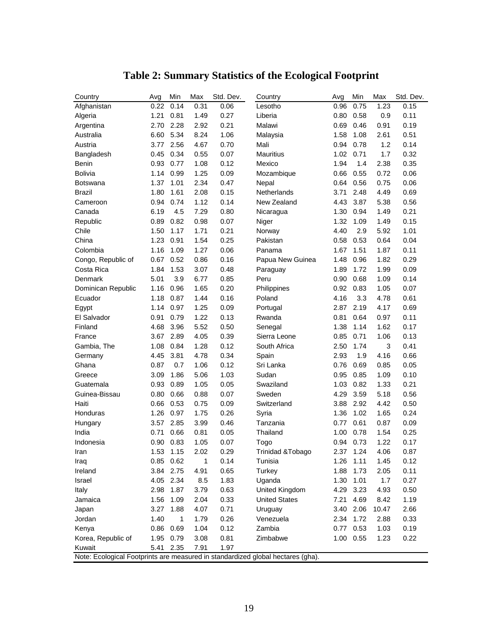| Country                                                                         | Avg  | Min       | Max          | Std. Dev. | Country                      | Avg  | Min  | Max   | Std. Dev. |
|---------------------------------------------------------------------------------|------|-----------|--------------|-----------|------------------------------|------|------|-------|-----------|
| Afghanistan                                                                     | 0.22 | 0.14      | 0.31         | 0.06      | Lesotho                      | 0.96 | 0.75 | 1.23  | 0.15      |
| Algeria                                                                         | 1.21 | 0.81      | 1.49         | 0.27      | Liberia                      | 0.80 | 0.58 | 0.9   | 0.11      |
| Argentina                                                                       | 2.70 | 2.28      | 2.92         | 0.21      | Malawi                       | 0.69 | 0.46 | 0.91  | 0.19      |
| Australia                                                                       | 6.60 | 5.34      | 8.24         | 1.06      | Malaysia                     | 1.58 | 1.08 | 2.61  | 0.51      |
| Austria                                                                         | 3.77 | 2.56      | 4.67         | 0.70      | Mali                         | 0.94 | 0.78 | 1.2   | 0.14      |
| Bangladesh                                                                      | 0.45 | 0.34      | 0.55         | 0.07      | <b>Mauritius</b>             | 1.02 | 0.71 | 1.7   | 0.32      |
| Benin                                                                           | 0.93 | 0.77      | 1.08         | 0.12      | Mexico                       | 1.94 | 1.4  | 2.38  | 0.35      |
| <b>Bolivia</b>                                                                  | 1.14 | 0.99      | 1.25         | 0.09      | Mozambique                   | 0.66 | 0.55 | 0.72  | 0.06      |
| Botswana                                                                        | 1.37 | 1.01      | 2.34         | 0.47      | Nepal                        | 0.64 | 0.56 | 0.75  | 0.06      |
| <b>Brazil</b>                                                                   | 1.80 | 1.61      | 2.08         | 0.15      | Netherlands                  | 3.71 | 2.48 | 4.49  | 0.69      |
| Cameroon                                                                        | 0.94 | 0.74      | 1.12         | 0.14      | New Zealand                  | 4.43 | 3.87 | 5.38  | 0.56      |
| Canada                                                                          | 6.19 | 4.5       | 7.29         | 0.80      | Nicaragua                    | 1.30 | 0.94 | 1.49  | 0.21      |
| Republic                                                                        | 0.89 | 0.82      | 0.98         | 0.07      | Niger                        | 1.32 | 1.09 | 1.49  | 0.15      |
| Chile                                                                           | 1.50 | 1.17      | 1.71         | 0.21      | Norway                       | 4.40 | 2.9  | 5.92  | 1.01      |
| China                                                                           | 1.23 | 0.91      | 1.54         | 0.25      | Pakistan                     | 0.58 | 0.53 | 0.64  | 0.04      |
| Colombia                                                                        | 1.16 | 1.09      | 1.27         | 0.06      | Panama                       | 1.67 | 1.51 | 1.87  | 0.11      |
| Congo, Republic of                                                              | 0.67 | 0.52      | 0.86         | 0.16      | Papua New Guinea             | 1.48 | 0.96 | 1.82  | 0.29      |
| Costa Rica                                                                      | 1.84 | 1.53      | 3.07         | 0.48      | Paraguay                     | 1.89 | 1.72 | 1.99  | 0.09      |
| Denmark                                                                         | 5.01 | 3.9       | 6.77         | 0.85      | Peru                         | 0.90 | 0.68 | 1.09  | 0.14      |
| Dominican Republic                                                              | 1.16 | 0.96      | 1.65         | 0.20      | Philippines                  | 0.92 | 0.83 | 1.05  | 0.07      |
| Ecuador                                                                         | 1.18 | 0.87      | 1.44         | 0.16      | Poland                       | 4.16 | 3.3  | 4.78  | 0.61      |
| Egypt                                                                           | 1.14 | 0.97      | 1.25         | 0.09      | Portugal                     | 2.87 | 2.19 | 4.17  | 0.69      |
| El Salvador                                                                     | 0.91 | 0.79      | 1.22         | 0.13      | Rwanda                       | 0.81 | 0.64 | 0.97  | 0.11      |
| Finland                                                                         | 4.68 | 3.96      | 5.52         | 0.50      | Senegal                      | 1.38 | 1.14 | 1.62  | 0.17      |
| France                                                                          | 3.67 | 2.89      | 4.05         | 0.39      | Sierra Leone                 | 0.85 | 0.71 | 1.06  | 0.13      |
| Gambia, The                                                                     | 1.08 | 0.84      | 1.28         | 0.12      | South Africa                 | 2.50 | 1.74 | 3     | 0.41      |
| Germany                                                                         | 4.45 | 3.81      | 4.78         | 0.34      | Spain                        | 2.93 | 1.9  | 4.16  | 0.66      |
| Ghana                                                                           | 0.87 | 0.7       | 1.06         | 0.12      | Sri Lanka                    | 0.76 | 0.69 | 0.85  | 0.05      |
| Greece                                                                          | 3.09 | 1.86      | 5.06         | 1.03      | Sudan                        | 0.95 | 0.85 | 1.09  | 0.10      |
| Guatemala                                                                       | 0.93 | 0.89      | 1.05         | 0.05      | Swaziland                    | 1.03 | 0.82 | 1.33  | 0.21      |
| Guinea-Bissau                                                                   | 0.80 | 0.66      | 0.88         | 0.07      | Sweden                       | 4.29 | 3.59 | 5.18  | 0.56      |
| Haiti                                                                           | 0.66 | 0.53      | 0.75         | 0.09      | Switzerland                  | 3.88 | 2.92 | 4.42  | 0.50      |
| Honduras                                                                        | 1.26 | 0.97      | 1.75         | 0.26      | Syria                        | 1.36 | 1.02 | 1.65  | 0.24      |
| Hungary                                                                         | 3.57 | 2.85      | 3.99         | 0.46      | Tanzania                     | 0.77 | 0.61 | 0.87  | 0.09      |
| India                                                                           | 0.71 | 0.66      | 0.81         | 0.05      | Thailand                     | 1.00 | 0.78 | 1.54  | 0.25      |
| Indonesia                                                                       | 0.90 | 0.83      | 1.05         | 0.07      | Togo                         | 0.94 | 0.73 | 1.22  | 0.17      |
| Iran                                                                            | 1.53 | 1.15      | 2.02         | 0.29      | <b>Trinidad &amp; Tobago</b> | 2.37 | 1.24 | 4.06  | 0.87      |
| Iraq                                                                            |      | 0.85 0.62 | $\mathbf{1}$ | 0.14      | Tunisia                      | 1.26 | 1.11 | 1.45  | 0.12      |
| Ireland                                                                         | 3.84 | 2.75      | 4.91         | 0.65      | Turkey                       | 1.88 | 1.73 | 2.05  | 0.11      |
| Israel                                                                          | 4.05 | 2.34      | 8.5          | 1.83      | Uganda                       | 1.30 | 1.01 | 1.7   | 0.27      |
| Italy                                                                           | 2.98 | 1.87      | 3.79         | 0.63      | United Kingdom               | 4.29 | 3.23 | 4.93  | 0.50      |
| Jamaica                                                                         | 1.56 | 1.09      | 2.04         | 0.33      | <b>United States</b>         | 7.21 | 4.69 | 8.42  | 1.19      |
| Japan                                                                           | 3.27 | 1.88      | 4.07         | 0.71      | Uruguay                      | 3.40 | 2.06 | 10.47 | 2.66      |
| Jordan                                                                          | 1.40 | 1         | 1.79         | 0.26      | Venezuela                    | 2.34 | 1.72 | 2.88  | 0.33      |
| Kenya                                                                           | 0.86 | 0.69      | 1.04         | 0.12      | Zambia                       | 0.77 | 0.53 | 1.03  | 0.19      |
| Korea, Republic of                                                              | 1.95 | 0.79      | 3.08         | 0.81      | Zimbabwe                     | 1.00 | 0.55 | 1.23  | 0.22      |
| Kuwait                                                                          | 5.41 | 2.35      | 7.91         | 1.97      |                              |      |      |       |           |
| Note: Ecological Footprints are measured in standardized global hectares (gha). |      |           |              |           |                              |      |      |       |           |

# **Table 2: Summary Statistics of the Ecological Footprint**